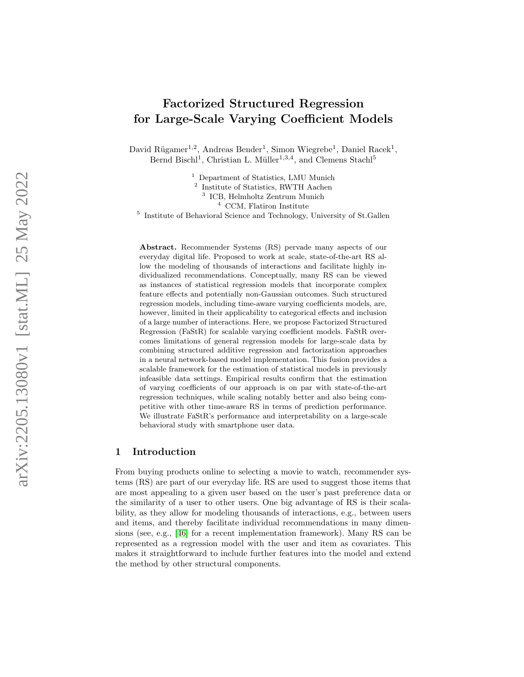# Factorized Structured Regression for Large-Scale Varying Coefficient Models

David Rügamer<sup>1,2</sup>, Andreas Bender<sup>1</sup>, Simon Wiegrebe<sup>1</sup>, Daniel Racek<sup>1</sup>, Bernd Bischl<sup>1</sup>, Christian L. Müller<sup>1,3,4</sup>, and Clemens Stachl<sup>5</sup>

<sup>1</sup> Department of Statistics, LMU Munich

2 Institute of Statistics, RWTH Aachen

3 ICB, Helmholtz Zentrum Munich

<sup>4</sup> CCM, Flatiron Institute

5 Institute of Behavioral Science and Technology, University of St.Gallen

Abstract. Recommender Systems (RS) pervade many aspects of our everyday digital life. Proposed to work at scale, state-of-the-art RS allow the modeling of thousands of interactions and facilitate highly individualized recommendations. Conceptually, many RS can be viewed as instances of statistical regression models that incorporate complex feature effects and potentially non-Gaussian outcomes. Such structured regression models, including time-aware varying coefficients models, are, however, limited in their applicability to categorical effects and inclusion of a large number of interactions. Here, we propose Factorized Structured Regression (FaStR) for scalable varying coefficient models. FaStR overcomes limitations of general regression models for large-scale data by combining structured additive regression and factorization approaches in a neural network-based model implementation. This fusion provides a scalable framework for the estimation of statistical models in previously infeasible data settings. Empirical results confirm that the estimation of varying coefficients of our approach is on par with state-of-the-art regression techniques, while scaling notably better and also being competitive with other time-aware RS in terms of prediction performance. We illustrate FaStR's performance and interpretability on a large-scale behavioral study with smartphone user data.

### 1 Introduction

From buying products online to selecting a movie to watch, recommender systems (RS) are part of our everyday life. RS are used to suggest those items that are most appealing to a given user based on the user's past preference data or the similarity of a user to other users. One big advantage of RS is their scalability, as they allow for modeling thousands of interactions, e.g., between users and items, and thereby facilitate individual recommendations in many dimensions (see, e.g., [\[46\]](#page-16-0) for a recent implementation framework). Many RS can be represented as a regression model with the user and item as covariates. This makes it straightforward to include further features into the model and extend the method by other structural components.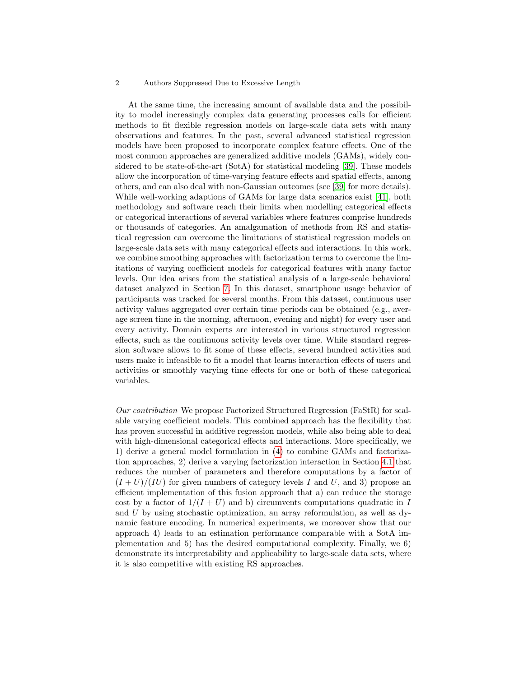At the same time, the increasing amount of available data and the possibility to model increasingly complex data generating processes calls for efficient methods to fit flexible regression models on large-scale data sets with many observations and features. In the past, several advanced statistical regression models have been proposed to incorporate complex feature effects. One of the most common approaches are generalized additive models (GAMs), widely considered to be state-of-the-art (SotA) for statistical modeling [\[39\]](#page-15-0). These models allow the incorporation of time-varying feature effects and spatial effects, among others, and can also deal with non-Gaussian outcomes (see [\[39\]](#page-15-0) for more details). While well-working adaptions of GAMs for large data scenarios exist [\[41\]](#page-15-1), both methodology and software reach their limits when modelling categorical effects or categorical interactions of several variables where features comprise hundreds or thousands of categories. An amalgamation of methods from RS and statistical regression can overcome the limitations of statistical regression models on large-scale data sets with many categorical effects and interactions. In this work, we combine smoothing approaches with factorization terms to overcome the limitations of varying coefficient models for categorical features with many factor levels. Our idea arises from the statistical analysis of a large-scale behavioral dataset analyzed in Section [7.](#page-12-0) In this dataset, smartphone usage behavior of participants was tracked for several months. From this dataset, continuous user activity values aggregated over certain time periods can be obtained (e.g., average screen time in the morning, afternoon, evening and night) for every user and every activity. Domain experts are interested in various structured regression effects, such as the continuous activity levels over time. While standard regression software allows to fit some of these effects, several hundred activities and users make it infeasible to fit a model that learns interaction effects of users and activities or smoothly varying time effects for one or both of these categorical variables.

Our contribution We propose Factorized Structured Regression (FaStR) for scalable varying coefficient models. This combined approach has the flexibility that has proven successful in additive regression models, while also being able to deal with high-dimensional categorical effects and interactions. More specifically, we 1) derive a general model formulation in [\(4\)](#page-5-0) to combine GAMs and factorization approaches, 2) derive a varying factorization interaction in Section [4.1](#page-6-0) that reduces the number of parameters and therefore computations by a factor of  $(I+U)/(IU)$  for given numbers of category levels I and U, and 3) propose an efficient implementation of this fusion approach that a) can reduce the storage cost by a factor of  $1/(I+U)$  and b) circumvents computations quadratic in I and U by using stochastic optimization, an array reformulation, as well as dynamic feature encoding. In numerical experiments, we moreover show that our approach 4) leads to an estimation performance comparable with a SotA implementation and 5) has the desired computational complexity. Finally, we 6) demonstrate its interpretability and applicability to large-scale data sets, where it is also competitive with existing RS approaches.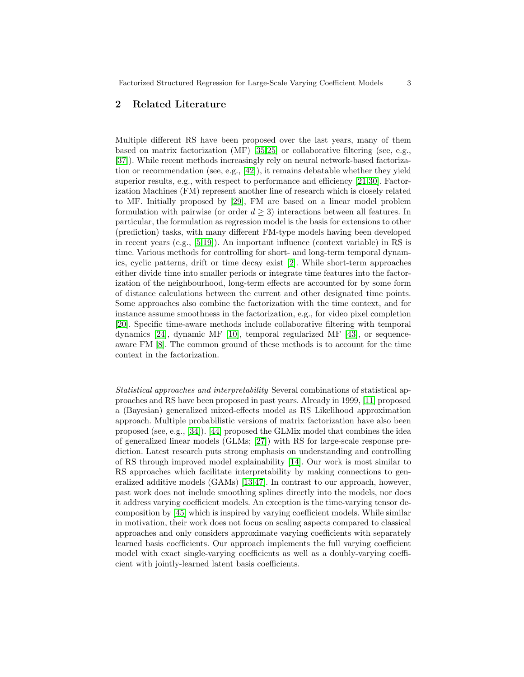# 2 Related Literature

Multiple different RS have been proposed over the last years, many of them based on matrix factorization (MF) [\[35,](#page-15-2)[25\]](#page-15-3) or collaborative filtering (see, e.g., [\[37\]](#page-15-4)). While recent methods increasingly rely on neural network-based factorization or recommendation (see, e.g.,  $[42]$ ), it remains debatable whether they yield superior results, e.g., with respect to performance and efficiency [\[21,](#page-14-0)[30\]](#page-15-6). Factorization Machines (FM) represent another line of research which is closely related to MF. Initially proposed by [\[29\]](#page-15-7), FM are based on a linear model problem formulation with pairwise (or order  $d \geq 3$ ) interactions between all features. In particular, the formulation as regression model is the basis for extensions to other (prediction) tasks, with many different FM-type models having been developed in recent years (e.g., [\[5,](#page-13-0)[19\]](#page-14-1)). An important influence (context variable) in RS is time. Various methods for controlling for short- and long-term temporal dynamics, cyclic patterns, drift or time decay exist [\[2\]](#page-13-1). While short-term approaches either divide time into smaller periods or integrate time features into the factorization of the neighbourhood, long-term effects are accounted for by some form of distance calculations between the current and other designated time points. Some approaches also combine the factorization with the time context, and for instance assume smoothness in the factorization, e.g., for video pixel completion [\[20\]](#page-14-2). Specific time-aware methods include collaborative filtering with temporal dynamics [\[24\]](#page-14-3), dynamic MF [\[10\]](#page-14-4), temporal regularized MF [\[43\]](#page-15-8), or sequenceaware FM [\[8\]](#page-14-5). The common ground of these methods is to account for the time context in the factorization.

Statistical approaches and interpretability Several combinations of statistical approaches and RS have been proposed in past years. Already in 1999, [\[11\]](#page-14-6) proposed a (Bayesian) generalized mixed-effects model as RS Likelihood approximation approach. Multiple probabilistic versions of matrix factorization have also been proposed (see, e.g., [\[34\]](#page-15-9)). [\[44\]](#page-16-1) proposed the GLMix model that combines the idea of generalized linear models (GLMs; [\[27\]](#page-15-10)) with RS for large-scale response prediction. Latest research puts strong emphasis on understanding and controlling of RS through improved model explainability [\[14\]](#page-14-7). Our work is most similar to RS approaches which facilitate interpretability by making connections to generalized additive models (GAMs) [\[13,](#page-14-8)[47\]](#page-16-2). In contrast to our approach, however, past work does not include smoothing splines directly into the models, nor does it address varying coefficient models. An exception is the time-varying tensor decomposition by [\[45\]](#page-16-3) which is inspired by varying coefficient models. While similar in motivation, their work does not focus on scaling aspects compared to classical approaches and only considers approximate varying coefficients with separately learned basis coefficients. Our approach implements the full varying coefficient model with exact single-varying coefficients as well as a doubly-varying coefficient with jointly-learned latent basis coefficients.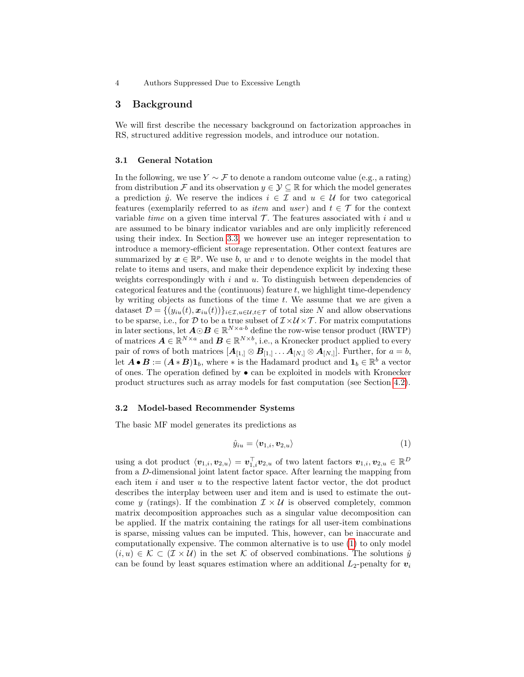### 3 Background

We will first describe the necessary background on factorization approaches in RS, structured additive regression models, and introduce our notation.

### 3.1 General Notation

In the following, we use  $Y \sim \mathcal{F}$  to denote a random outcome value (e.g., a rating) from distribution F and its observation  $y \in \mathcal{Y} \subseteq \mathbb{R}$  for which the model generates a prediction  $\hat{y}$ . We reserve the indices  $i \in \mathcal{I}$  and  $u \in \mathcal{U}$  for two categorical features (exemplarily referred to as *item* and user) and  $t \in \mathcal{T}$  for the context variable *time* on a given time interval  $\mathcal{T}$ . The features associated with i and u are assumed to be binary indicator variables and are only implicitly referenced using their index. In Section [3.3,](#page-4-0) we however use an integer representation to introduce a memory-efficient storage representation. Other context features are summarized by  $x \in \mathbb{R}^p$ . We use b, w and v to denote weights in the model that relate to items and users, and make their dependence explicit by indexing these weights correspondingly with i and  $u$ . To distinguish between dependencies of categorical features and the (continuous) feature  $t$ , we highlight time-dependency by writing objects as functions of the time  $t$ . We assume that we are given a dataset  $\mathcal{D} = \{(y_{iu}(t), x_{iu}(t))\}_{i \in \mathcal{I}, u \in \mathcal{U}, t \in \mathcal{T}}$  of total size N and allow observations to be sparse, i.e., for  $\mathcal{D}$  to be a true subset of  $\mathcal{I} \times \mathcal{U} \times \mathcal{T}$ . For matrix computations in later sections, let  $\mathbf{A} \odot \mathbf{B} \in \mathbb{R}^{N \times a \cdot b}$  define the row-wise tensor product (RWTP) of matrices  $A \in \mathbb{R}^{N \times a}$  and  $B \in \mathbb{R}^{N \times b}$ , i.e., a Kronecker product applied to every pair of rows of both matrices  $[\mathbf{A}_{[1,]} \otimes \mathbf{B}_{[1,]} \dots \mathbf{A}_{[N,]} \otimes \mathbf{A}_{[N,]}].$  Further, for  $a = b$ , let  $A \bullet B := (A * B) 1_b$ , where \* is the Hadamard product and  $1_b \in \mathbb{R}^b$  a vector of ones. The operation defined by • can be exploited in models with Kronecker product structures such as array models for fast computation (see Section [4.2\)](#page-7-0).

#### 3.2 Model-based Recommender Systems

The basic MF model generates its predictions as

<span id="page-3-0"></span>
$$
\hat{y}_{iu} = \langle \mathbf{v}_{1,i}, \mathbf{v}_{2,u} \rangle \tag{1}
$$

using a dot product  $\langle v_{1,i}, v_{2,u} \rangle = \boldsymbol{v}_{1,i}^{\top} v_{2,u}$  of two latent factors  $v_{1,i}, v_{2,u} \in \mathbb{R}^D$ from a D-dimensional joint latent factor space. After learning the mapping from each item  $i$  and user  $u$  to the respective latent factor vector, the dot product describes the interplay between user and item and is used to estimate the outcome y (ratings). If the combination  $\mathcal{I} \times \mathcal{U}$  is observed completely, common matrix decomposition approaches such as a singular value decomposition can be applied. If the matrix containing the ratings for all user-item combinations is sparse, missing values can be imputed. This, however, can be inaccurate and computationally expensive. The common alternative is to use [\(1\)](#page-3-0) to only model  $(i, u) \in \mathcal{K} \subset (\mathcal{I} \times \mathcal{U})$  in the set K of observed combinations. The solutions  $\hat{y}$ can be found by least squares estimation where an additional  $L_2$ -penalty for  $v_i$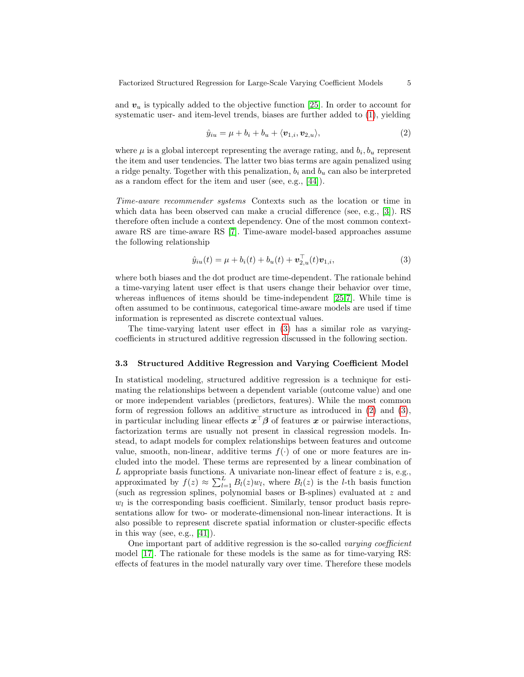and  $v_u$  is typically added to the objective function [\[25\]](#page-15-3). In order to account for systematic user- and item-level trends, biases are further added to [\(1\)](#page-3-0), yielding

<span id="page-4-2"></span>
$$
\hat{y}_{iu} = \mu + b_i + b_u + \langle \mathbf{v}_{1,i}, \mathbf{v}_{2,u} \rangle, \tag{2}
$$

where  $\mu$  is a global intercept representing the average rating, and  $b_i, b_u$  represent the item and user tendencies. The latter two bias terms are again penalized using a ridge penalty. Together with this penalization,  $b_i$  and  $b_u$  can also be interpreted as a random effect for the item and user (see, e.g., [\[44\]](#page-16-1)).

Time-aware recommender systems Contexts such as the location or time in which data has been observed can make a crucial difference (see, e.g., [\[3\]](#page-13-2)). RS therefore often include a context dependency. One of the most common contextaware RS are time-aware RS [\[7\]](#page-14-9). Time-aware model-based approaches assume the following relationship

<span id="page-4-1"></span>
$$
\hat{y}_{iu}(t) = \mu + b_i(t) + b_u(t) + \mathbf{v}_{2,u}^{\top}(t)\mathbf{v}_{1,i},
$$
\n(3)

where both biases and the dot product are time-dependent. The rationale behind a time-varying latent user effect is that users change their behavior over time, whereas influences of items should be time-independent [\[25,](#page-15-3)[7\]](#page-14-9). While time is often assumed to be continuous, categorical time-aware models are used if time information is represented as discrete contextual values.

The time-varying latent user effect in [\(3\)](#page-4-1) has a similar role as varyingcoefficients in structured additive regression discussed in the following section.

#### <span id="page-4-0"></span>3.3 Structured Additive Regression and Varying Coefficient Model

In statistical modeling, structured additive regression is a technique for estimating the relationships between a dependent variable (outcome value) and one or more independent variables (predictors, features). While the most common form of regression follows an additive structure as introduced in [\(2\)](#page-4-2) and [\(3\)](#page-4-1), in particular including linear effects  $x^{\top} \beta$  of features x or pairwise interactions, factorization terms are usually not present in classical regression models. Instead, to adapt models for complex relationships between features and outcome value, smooth, non-linear, additive terms  $f(\cdot)$  of one or more features are included into the model. These terms are represented by a linear combination of  $L$  appropriate basis functions. A univariate non-linear effect of feature  $z$  is, e.g., approximated by  $f(z) \approx \sum_{l=1}^{L} B_l(z)w_l$ , where  $B_l(z)$  is the l-th basis function (such as regression splines, polynomial bases or B-splines) evaluated at z and  $w_l$  is the corresponding basis coefficient. Similarly, tensor product basis representations allow for two- or moderate-dimensional non-linear interactions. It is also possible to represent discrete spatial information or cluster-specific effects in this way (see, e.g.,  $[41]$ ).

One important part of additive regression is the so-called varying coefficient model [\[17\]](#page-14-10). The rationale for these models is the same as for time-varying RS: effects of features in the model naturally vary over time. Therefore these models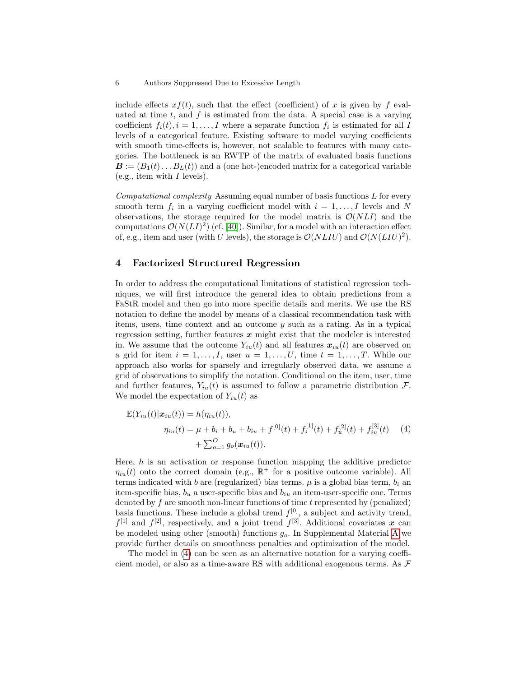include effects  $xf(t)$ , such that the effect (coefficient) of x is given by f evaluated at time  $t$ , and  $f$  is estimated from the data. A special case is a varying coefficient  $f_i(t)$ ,  $i = 1, \ldots, I$  where a separate function  $f_i$  is estimated for all I levels of a categorical feature. Existing software to model varying coefficients with smooth time-effects is, however, not scalable to features with many categories. The bottleneck is an RWTP of the matrix of evaluated basis functions  $\mathbf{B} := (B_1(t) \dots B_L(t))$  and a (one hot-)encoded matrix for a categorical variable  $(e.g., item with I levels).$ 

 $Computational complexity$  Assuming equal number of basis functions  $L$  for every smooth term  $f_i$  in a varying coefficient model with  $i = 1, ..., I$  levels and N observations, the storage required for the model matrix is  $\mathcal{O}(NLI)$  and the computations  $\mathcal{O}(N(LI)^2)$  (cf. [\[40\]](#page-15-11)). Similar, for a model with an interaction effect of, e.g., item and user (with U levels), the storage is  $\mathcal{O}(NLIU)$  and  $\mathcal{O}(N(LIU)^2)$ .

# 4 Factorized Structured Regression

In order to address the computational limitations of statistical regression techniques, we will first introduce the general idea to obtain predictions from a FaStR model and then go into more specific details and merits. We use the RS notation to define the model by means of a classical recommendation task with items, users, time context and an outcome y such as a rating. As in a typical regression setting, further features  $x$  might exist that the modeler is interested in. We assume that the outcome  $Y_{iu}(t)$  and all features  $x_{iu}(t)$  are observed on a grid for item  $i = 1, \ldots, I$ , user  $u = 1, \ldots, U$ , time  $t = 1, \ldots, T$ . While our approach also works for sparsely and irregularly observed data, we assume a grid of observations to simplify the notation. Conditional on the item, user, time and further features,  $Y_{iu}(t)$  is assumed to follow a parametric distribution  $\mathcal{F}$ . We model the expectation of  $Y_{iu}(t)$  as

<span id="page-5-0"></span>
$$
\mathbb{E}(Y_{iu}(t)|\mathbf{x}_{iu}(t)) = h(\eta_{iu}(t)),
$$
  
\n
$$
\eta_{iu}(t) = \mu + b_i + b_u + b_{iu} + f^{[0]}(t) + f^{[1]}_i(t) + f^{[2]}_u(t) + f^{[3]}_{iu}(t) \tag{4}
$$
  
\n
$$
+ \sum_{o=1}^{\infty} g_o(\mathbf{x}_{iu}(t)).
$$

Here,  $h$  is an activation or response function mapping the additive predictor  $\eta_{iu}(t)$  onto the correct domain (e.g.,  $\mathbb{R}^+$  for a positive outcome variable). All terms indicated with b are (regularized) bias terms.  $\mu$  is a global bias term,  $b_i$  and item-specific bias,  $b_u$  a user-specific bias and  $b_{iu}$  an item-user-specific one. Terms denoted by  $f$  are smooth non-linear functions of time  $t$  represented by (penalized) basis functions. These include a global trend  $f^{[0]}$ , a subject and activity trend,  $f<sup>[1]</sup>$  and  $f<sup>[2]</sup>$ , respectively, and a joint trend  $f<sup>[3]</sup>$ . Additional covariates x can be modeled using other (smooth) functions  $g<sub>o</sub>$ . In Supplemental Material [A](#page-17-0) we provide further details on smoothness penalties and optimization of the model.

The model in [\(4\)](#page-5-0) can be seen as an alternative notation for a varying coefficient model, or also as a time-aware RS with additional exogenous terms. As  $\mathcal F$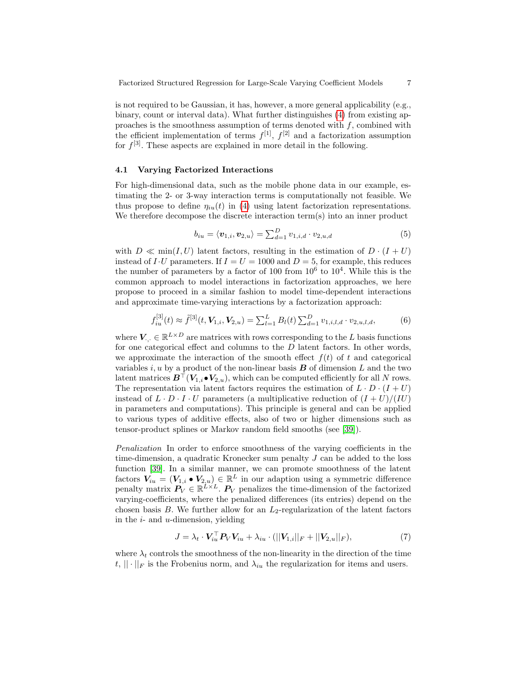is not required to be Gaussian, it has, however, a more general applicability (e.g., binary, count or interval data). What further distinguishes [\(4\)](#page-5-0) from existing approaches is the smoothness assumption of terms denoted with  $f$ , combined with the efficient implementation of terms  $f^{[1]}$ ,  $f^{[2]}$  and a factorization assumption for  $f^{[3]}$ . These aspects are explained in more detail in the following.

#### <span id="page-6-0"></span>4.1 Varying Factorized Interactions

For high-dimensional data, such as the mobile phone data in our example, estimating the 2- or 3-way interaction terms is computationally not feasible. We thus propose to define  $\eta_{iu}(t)$  in [\(4\)](#page-5-0) using latent factorization representations. We therefore decompose the discrete interaction term(s) into an inner product

$$
b_{iu} = \langle \mathbf{v}_{1,i}, \mathbf{v}_{2,u} \rangle = \sum_{d=1}^{D} v_{1,i,d} \cdot v_{2,u,d} \tag{5}
$$

with  $D \ll \min(I, U)$  latent factors, resulting in the estimation of  $D \cdot (I + U)$ instead of I · U parameters. If  $I = U = 1000$  and  $D = 5$ , for example, this reduces the number of parameters by a factor of 100 from  $10^6$  to  $10^4$ . While this is the common approach to model interactions in factorization approaches, we here propose to proceed in a similar fashion to model time-dependent interactions and approximate time-varying interactions by a factorization approach:

$$
f_{iu}^{[3]}(t) \approx \tilde{f}^{[3]}(t, \mathbf{V}_{1,i}, \mathbf{V}_{2,u}) = \sum_{l=1}^{L} B_l(t) \sum_{d=1}^{D} v_{1,i,l,d} \cdot v_{2,u,l,d}, \tag{6}
$$

where  $V_{\cdot,\cdot} \in \mathbb{R}^{L \times D}$  are matrices with rows corresponding to the L basis functions for one categorical effect and columns to the  $D$  latent factors. In other words, we approximate the interaction of the smooth effect  $f(t)$  of t and categorical variables i, u by a product of the non-linear basis  $\bf{B}$  of dimension L and the two latent matrices  $\mathbf{B}^{\top}(\mathbf{V}_{1,i}\bullet\mathbf{V}_{2,u})$ , which can be computed efficiently for all N rows. The representation via latent factors requires the estimation of  $L \cdot D \cdot (I + U)$ instead of  $L \cdot D \cdot I \cdot U$  parameters (a multiplicative reduction of  $(I + U)/(IU)$ in parameters and computations). This principle is general and can be applied to various types of additive effects, also of two or higher dimensions such as tensor-product splines or Markov random field smooths (see [\[39\]](#page-15-0)).

Penalization In order to enforce smoothness of the varying coefficients in the time-dimension, a quadratic Kronecker sum penalty J can be added to the loss function [\[39\]](#page-15-0). In a similar manner, we can promote smoothness of the latent factors  $V_{iu} = (V_{1,i} \bullet V_{2,u}) \in \mathbb{R}^L$  in our adaption using a symmetric difference penalty matrix  $P_V \in \mathbb{R}^{L \times L}$ .  $P_V$  penalizes the time-dimension of the factorized varying-coefficients, where the penalized differences (its entries) depend on the chosen basis B. We further allow for an  $L_2$ -regularization of the latent factors in the  $i$ - and  $u$ -dimension, yielding

$$
J = \lambda_t \cdot \mathbf{V}_{iu}^\top \mathbf{P}_V \mathbf{V}_{iu} + \lambda_{iu} \cdot (||\mathbf{V}_{1,i}||_F + ||\mathbf{V}_{2,u}||_F),
$$
\n(7)

where  $\lambda_t$  controls the smoothness of the non-linearity in the direction of the time  $t, \|\cdot\|_F$  is the Frobenius norm, and  $\lambda_{iu}$  the regularization for items and users.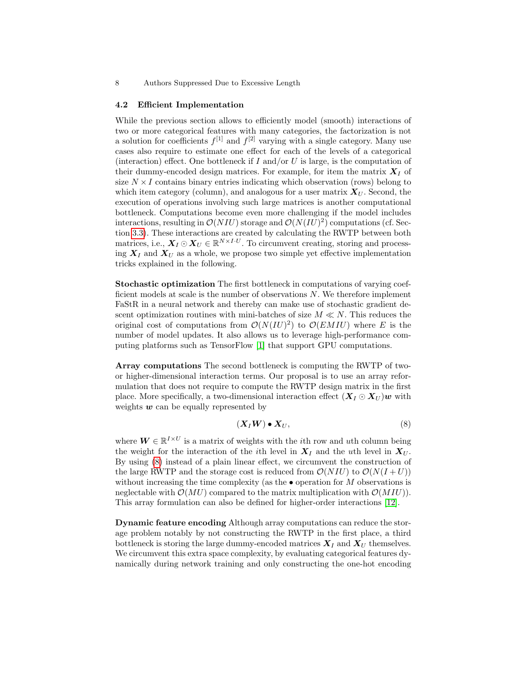#### <span id="page-7-0"></span>4.2 Efficient Implementation

While the previous section allows to efficiently model (smooth) interactions of two or more categorical features with many categories, the factorization is not a solution for coefficients  $f^{[1]}$  and  $f^{[2]}$  varying with a single category. Many use cases also require to estimate one effect for each of the levels of a categorical (interaction) effect. One bottleneck if I and/or U is large, is the computation of their dummy-encoded design matrices. For example, for item the matrix  $\mathbf{X}_I$  of size  $N \times I$  contains binary entries indicating which observation (rows) belong to which item category (column), and analogous for a user matrix  $X_U$ . Second, the execution of operations involving such large matrices is another computational bottleneck. Computations become even more challenging if the model includes interactions, resulting in  $\mathcal{O}(NIU)$  storage and  $\mathcal{O}(N(IU)^2)$  computations (cf. Section [3.3\)](#page-4-0). These interactions are created by calculating the RWTP between both matrices, i.e.,  $X_I \odot X_U \in \mathbb{R}^{N \times I \cdot U}$ . To circumvent creating, storing and processing  $X_I$  and  $X_U$  as a whole, we propose two simple yet effective implementation tricks explained in the following.

Stochastic optimization The first bottleneck in computations of varying coefficient models at scale is the number of observations  $N$ . We therefore implement FaStR in a neural network and thereby can make use of stochastic gradient descent optimization routines with mini-batches of size  $M \ll N$ . This reduces the original cost of computations from  $\mathcal{O}(N(IU)^2)$  to  $\mathcal{O}(EMIU)$  where E is the number of model updates. It also allows us to leverage high-performance computing platforms such as TensorFlow [\[1\]](#page-13-3) that support GPU computations.

Array computations The second bottleneck is computing the RWTP of twoor higher-dimensional interaction terms. Our proposal is to use an array reformulation that does not require to compute the RWTP design matrix in the first place. More specifically, a two-dimensional interaction effect  $(X_I \odot X_{II})$  with weights  $w$  can be equally represented by

<span id="page-7-1"></span>
$$
(\boldsymbol{X}_I \boldsymbol{W}) \bullet \boldsymbol{X}_U,\tag{8}
$$

where  $\mathbf{W} \in \mathbb{R}^{I \times U}$  is a matrix of weights with the *i*th row and *uth* column being the weight for the interaction of the *i*th level in  $X_I$  and the *uth* level in  $X_U$ . By using [\(8\)](#page-7-1) instead of a plain linear effect, we circumvent the construction of the large RWTP and the storage cost is reduced from  $\mathcal{O}(NIU)$  to  $\mathcal{O}(N(I+U))$ without increasing the time complexity (as the  $\bullet$  operation for M observations is neglectable with  $\mathcal{O}(MU)$  compared to the matrix multiplication with  $\mathcal{O}(MIU)$ . This array formulation can also be defined for higher-order interactions [\[12\]](#page-14-11).

Dynamic feature encoding Although array computations can reduce the storage problem notably by not constructing the RWTP in the first place, a third bottleneck is storing the large dummy-encoded matrices  $X_I$  and  $X_U$  themselves. We circumvent this extra space complexity, by evaluating categorical features dynamically during network training and only constructing the one-hot encoding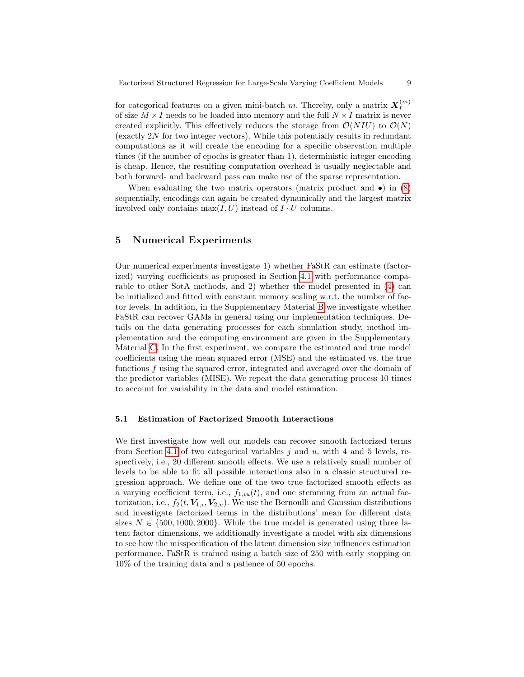for categorical features on a given mini-batch m. Thereby, only a matrix  $X_I^{(m)}$ I of size  $M \times I$  needs to be loaded into memory and the full  $N \times I$  matrix is never created explicitly. This effectively reduces the storage from  $\mathcal{O}(NIU)$  to  $\mathcal{O}(N)$ (exactly 2N for two integer vectors). While this potentially results in redundant computations as it will create the encoding for a specific observation multiple times (if the number of epochs is greater than 1), deterministic integer encoding is cheap. Hence, the resulting computation overhead is usually neglectable and both forward- and backward pass can make use of the sparse representation.

When evaluating the two matrix operators (matrix product and  $\bullet$ ) in [\(8\)](#page-7-1) sequentially, encodings can again be created dynamically and the largest matrix involved only contains  $\max(I, U)$  instead of  $I \cdot U$  columns.

# 5 Numerical Experiments

Our numerical experiments investigate 1) whether FaStR can estimate (factorized) varying coefficients as proposed in Section [4.1](#page-6-0) with performance comparable to other SotA methods, and 2) whether the model presented in [\(4\)](#page-5-0) can be initialized and fitted with constant memory scaling w.r.t. the number of factor levels. In addition, in the Supplementary Material [B](#page-17-1) we investigate whether FaStR can recover GAMs in general using our implementation techniques. Details on the data generating processes for each simulation study, method implementation and the computing environment are given in the Supplementary Material [C.](#page-17-2) In the first experiment, we compare the estimated and true model coefficients using the mean squared error (MSE) and the estimated vs. the true functions f using the squared error, integrated and averaged over the domain of the predictor variables (MISE). We repeat the data generating process 10 times to account for variability in the data and model estimation.

### <span id="page-8-0"></span>5.1 Estimation of Factorized Smooth Interactions

We first investigate how well our models can recover smooth factorized terms from Section [4.1](#page-6-0) of two categorical variables  $j$  and  $u$ , with 4 and 5 levels, respectively, i.e., 20 different smooth effects. We use a relatively small number of levels to be able to fit all possible interactions also in a classic structured regression approach. We define one of the two true factorized smooth effects as a varying coefficient term, i.e.,  $f_{1,iu}(t)$ , and one stemming from an actual factorization, i.e.,  $f_2(t, V_{1,i}, V_{2,u})$ . We use the Bernoulli and Gaussian distributions and investigate factorized terms in the distributions' mean for different data sizes  $N \in \{500, 1000, 2000\}$ . While the true model is generated using three latent factor dimensions, we additionally investigate a model with six dimensions to see how the misspecification of the latent dimension size influences estimation performance. FaStR is trained using a batch size of 250 with early stopping on 10% of the training data and a patience of 50 epochs.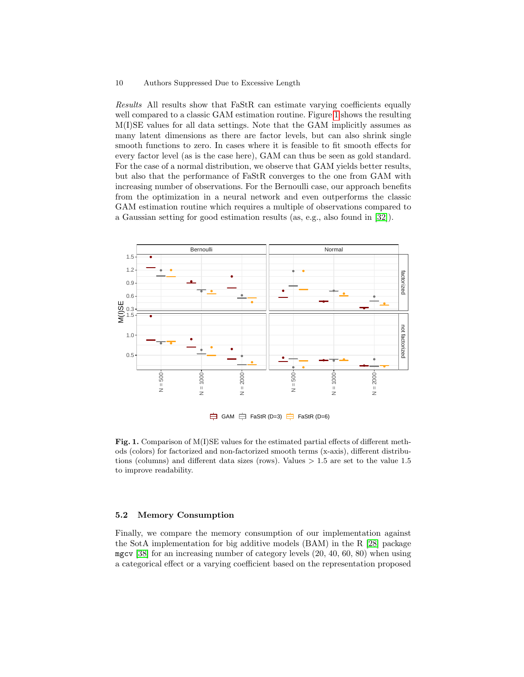Results All results show that FaStR can estimate varying coefficients equally well compared to a classic GAM estimation routine. Figure [1](#page-9-0) shows the resulting M(I)SE values for all data settings. Note that the GAM implicitly assumes as many latent dimensions as there are factor levels, but can also shrink single smooth functions to zero. In cases where it is feasible to fit smooth effects for every factor level (as is the case here), GAM can thus be seen as gold standard. For the case of a normal distribution, we observe that GAM yields better results, but also that the performance of FaStR converges to the one from GAM with increasing number of observations. For the Bernoulli case, our approach benefits from the optimization in a neural network and even outperforms the classic GAM estimation routine which requires a multiple of observations compared to a Gaussian setting for good estimation results (as, e.g., also found in [\[32\]](#page-15-12)).



<span id="page-9-0"></span>Fig. 1. Comparison of M(I)SE values for the estimated partial effects of different methods (colors) for factorized and non-factorized smooth terms (x-axis), different distributions (columns) and different data sizes (rows). Values  $> 1.5$  are set to the value 1.5 to improve readability.

#### 5.2 Memory Consumption

Finally, we compare the memory consumption of our implementation against the SotA implementation for big additive models (BAM) in the R [\[28\]](#page-15-13) package mgcv [\[38\]](#page-15-14) for an increasing number of category levels (20, 40, 60, 80) when using a categorical effect or a varying coefficient based on the representation proposed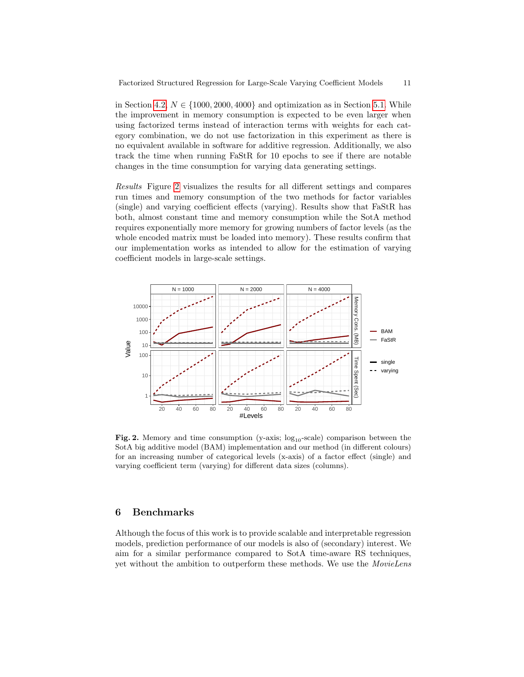in Section [4.2,](#page-7-0)  $N \in \{1000, 2000, 4000\}$  and optimization as in Section [5.1.](#page-8-0) While the improvement in memory consumption is expected to be even larger when using factorized terms instead of interaction terms with weights for each category combination, we do not use factorization in this experiment as there is no equivalent available in software for additive regression. Additionally, we also track the time when running FaStR for 10 epochs to see if there are notable changes in the time consumption for varying data generating settings.

Results Figure [2](#page-10-0) visualizes the results for all different settings and compares run times and memory consumption of the two methods for factor variables (single) and varying coefficient effects (varying). Results show that FaStR has both, almost constant time and memory consumption while the SotA method requires exponentially more memory for growing numbers of factor levels (as the whole encoded matrix must be loaded into memory). These results confirm that our implementation works as intended to allow for the estimation of varying coefficient models in large-scale settings.



<span id="page-10-0"></span>Fig. 2. Memory and time consumption (y-axis;  $log_{10}$ -scale) comparison between the SotA big additive model (BAM) implementation and our method (in different colours) for an increasing number of categorical levels (x-axis) of a factor effect (single) and varying coefficient term (varying) for different data sizes (columns).

# 6 Benchmarks

Although the focus of this work is to provide scalable and interpretable regression models, prediction performance of our models is also of (secondary) interest. We aim for a similar performance compared to SotA time-aware RS techniques, yet without the ambition to outperform these methods. We use the *MovieLens*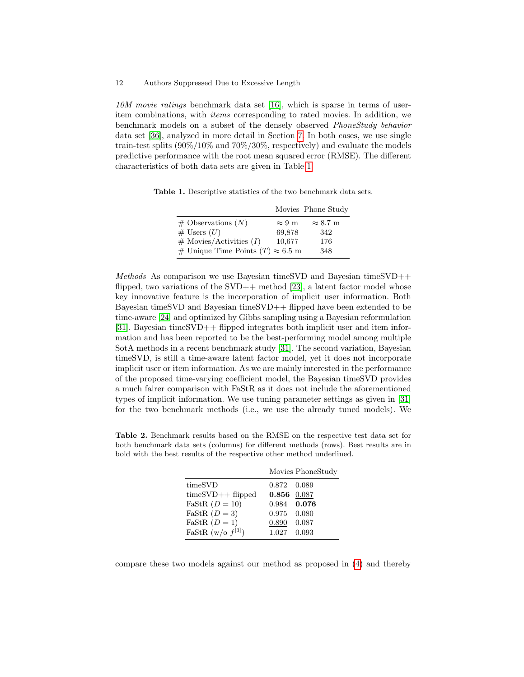10M movie ratings benchmark data set [\[16\]](#page-14-12), which is sparse in terms of useritem combinations, with items corresponding to rated movies. In addition, we benchmark models on a subset of the densely observed PhoneStudy behavior data set [\[36\]](#page-15-15), analyzed in more detail in Section [7.](#page-12-0) In both cases, we use single train-test splits  $(90\%/10\%$  and  $70\%/30\%$ , respectively) and evaluate the models predictive performance with the root mean squared error (RMSE). The different characteristics of both data sets are given in Table [1.](#page-11-0)

Table 1. Descriptive statistics of the two benchmark data sets.

<span id="page-11-0"></span>

|                                          |               | Movies Phone Study |
|------------------------------------------|---------------|--------------------|
| $\#$ Observations $(N)$                  | $\approx 9$ m | $\approx 8.7$ m    |
| $\#$ Users $(U)$                         | 69,878        | 342                |
| $\#$ Movies/Activities (I)               | 10,677        | 176                |
| # Unique Time Points $(T) \approx 6.5$ m |               | 348                |

Methods As comparison we use Bayesian timeSVD and Bayesian timeSVD++ flipped, two variations of the  $SVD++$  method [\[23\]](#page-14-13), a latent factor model whose key innovative feature is the incorporation of implicit user information. Both Bayesian timeSVD and Bayesian timeSVD++ flipped have been extended to be time-aware [\[24\]](#page-14-3) and optimized by Gibbs sampling using a Bayesian reformulation [\[31\]](#page-15-16). Bayesian timeSVD++ flipped integrates both implicit user and item information and has been reported to be the best-performing model among multiple SotA methods in a recent benchmark study [\[31\]](#page-15-16). The second variation, Bayesian timeSVD, is still a time-aware latent factor model, yet it does not incorporate implicit user or item information. As we are mainly interested in the performance of the proposed time-varying coefficient model, the Bayesian timeSVD provides a much fairer comparison with FaStR as it does not include the aforementioned types of implicit information. We use tuning parameter settings as given in [\[31\]](#page-15-16) for the two benchmark methods (i.e., we use the already tuned models). We

<span id="page-11-1"></span>Table 2. Benchmark results based on the RMSE on the respective test data set for both benchmark data sets (columns) for different methods (rows). Best results are in bold with the best results of the respective other method underlined.

|                        |             | Movies PhoneStudy |
|------------------------|-------------|-------------------|
| timeSVD                | 0.872 0.089 |                   |
| $timeSVD++flipped$     | 0.856 0.087 |                   |
| FaStR $(D = 10)$       |             | 0.984 0.076       |
| FaStR $(D=3)$          | 0.975 0.080 |                   |
| FaStR $(D = 1)$        | 0.890       | 0.087             |
| FaStR (w/o $f^{[3]}$ ) | 1.027 0.093 |                   |

compare these two models against our method as proposed in [\(4\)](#page-5-0) and thereby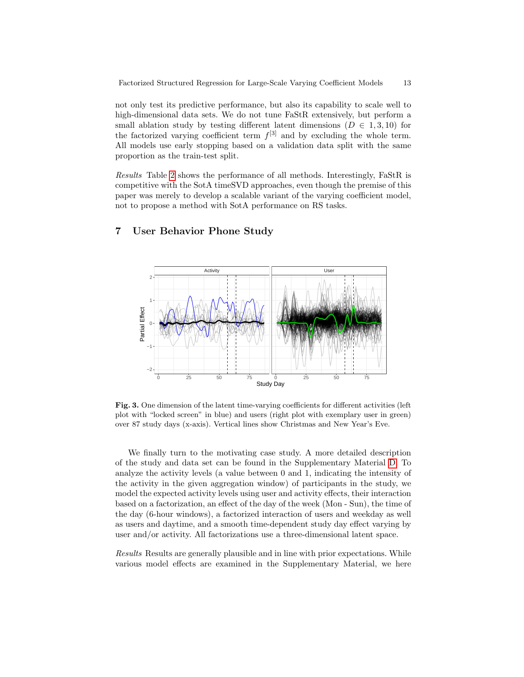not only test its predictive performance, but also its capability to scale well to high-dimensional data sets. We do not tune FaStR extensively, but perform a small ablation study by testing different latent dimensions ( $D \in 1,3,10$ ) for the factorized varying coefficient term  $f^{[3]}$  and by excluding the whole term. All models use early stopping based on a validation data split with the same proportion as the train-test split.

Results Table [2](#page-11-1) shows the performance of all methods. Interestingly, FaStR is competitive with the SotA timeSVD approaches, even though the premise of this paper was merely to develop a scalable variant of the varying coefficient model, not to propose a method with SotA performance on RS tasks.

# <span id="page-12-0"></span>7 User Behavior Phone Study



<span id="page-12-1"></span>Fig. 3. One dimension of the latent time-varying coefficients for different activities (left plot with "locked screen" in blue) and users (right plot with exemplary user in green) over 87 study days (x-axis). Vertical lines show Christmas and New Year's Eve.

We finally turn to the motivating case study. A more detailed description of the study and data set can be found in the Supplementary Material [D.](#page-19-0) To analyze the activity levels (a value between 0 and 1, indicating the intensity of the activity in the given aggregation window) of participants in the study, we model the expected activity levels using user and activity effects, their interaction based on a factorization, an effect of the day of the week (Mon - Sun), the time of the day (6-hour windows), a factorized interaction of users and weekday as well as users and daytime, and a smooth time-dependent study day effect varying by user and/or activity. All factorizations use a three-dimensional latent space.

Results Results are generally plausible and in line with prior expectations. While various model effects are examined in the Supplementary Material, we here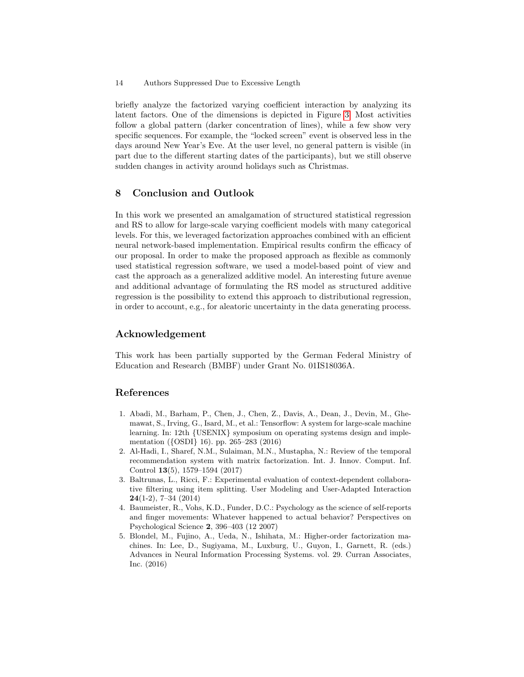briefly analyze the factorized varying coefficient interaction by analyzing its latent factors. One of the dimensions is depicted in Figure [3.](#page-12-1) Most activities follow a global pattern (darker concentration of lines), while a few show very specific sequences. For example, the "locked screen" event is observed less in the days around New Year's Eve. At the user level, no general pattern is visible (in part due to the different starting dates of the participants), but we still observe sudden changes in activity around holidays such as Christmas.

# 8 Conclusion and Outlook

In this work we presented an amalgamation of structured statistical regression and RS to allow for large-scale varying coefficient models with many categorical levels. For this, we leveraged factorization approaches combined with an efficient neural network-based implementation. Empirical results confirm the efficacy of our proposal. In order to make the proposed approach as flexible as commonly used statistical regression software, we used a model-based point of view and cast the approach as a generalized additive model. An interesting future avenue and additional advantage of formulating the RS model as structured additive regression is the possibility to extend this approach to distributional regression, in order to account, e.g., for aleatoric uncertainty in the data generating process.

# Acknowledgement

This work has been partially supported by the German Federal Ministry of Education and Research (BMBF) under Grant No. 01IS18036A.

# References

- <span id="page-13-3"></span>1. Abadi, M., Barham, P., Chen, J., Chen, Z., Davis, A., Dean, J., Devin, M., Ghemawat, S., Irving, G., Isard, M., et al.: Tensorflow: A system for large-scale machine learning. In: 12th {USENIX} symposium on operating systems design and implementation ({OSDI} 16). pp. 265–283 (2016)
- <span id="page-13-1"></span>2. Al-Hadi, I., Sharef, N.M., Sulaiman, M.N., Mustapha, N.: Review of the temporal recommendation system with matrix factorization. Int. J. Innov. Comput. Inf. Control 13(5), 1579–1594 (2017)
- <span id="page-13-2"></span>3. Baltrunas, L., Ricci, F.: Experimental evaluation of context-dependent collaborative filtering using item splitting. User Modeling and User-Adapted Interaction 24(1-2), 7–34 (2014)
- <span id="page-13-4"></span>4. Baumeister, R., Vohs, K.D., Funder, D.C.: Psychology as the science of self-reports and finger movements: Whatever happened to actual behavior? Perspectives on Psychological Science 2, 396–403 (12 2007)
- <span id="page-13-0"></span>5. Blondel, M., Fujino, A., Ueda, N., Ishihata, M.: Higher-order factorization machines. In: Lee, D., Sugiyama, M., Luxburg, U., Guyon, I., Garnett, R. (eds.) Advances in Neural Information Processing Systems. vol. 29. Curran Associates, Inc. (2016)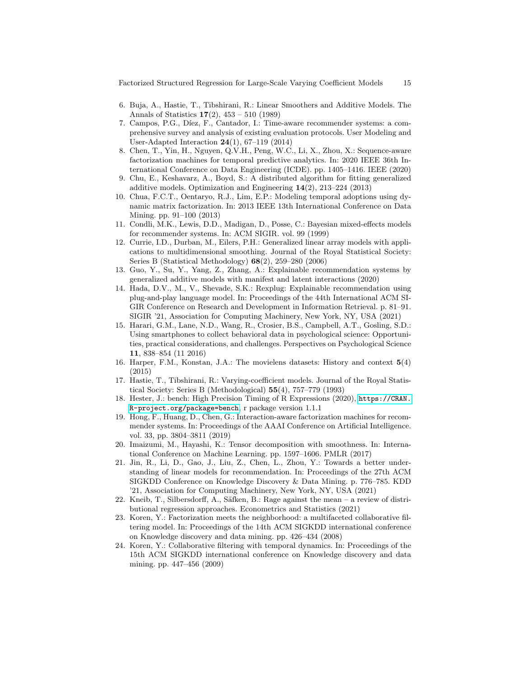Factorized Structured Regression for Large-Scale Varying Coefficient Models 15

- <span id="page-14-14"></span>6. Buja, A., Hastie, T., Tibshirani, R.: Linear Smoothers and Additive Models. The Annals of Statistics  $17(2)$ ,  $453 - 510$  (1989)
- <span id="page-14-9"></span>7. Campos, P.G., Díez, F., Cantador, I.: Time-aware recommender systems: a comprehensive survey and analysis of existing evaluation protocols. User Modeling and User-Adapted Interaction 24(1), 67–119 (2014)
- <span id="page-14-5"></span>8. Chen, T., Yin, H., Nguyen, Q.V.H., Peng, W.C., Li, X., Zhou, X.: Sequence-aware factorization machines for temporal predictive analytics. In: 2020 IEEE 36th International Conference on Data Engineering (ICDE). pp. 1405–1416. IEEE (2020)
- <span id="page-14-15"></span>9. Chu, E., Keshavarz, A., Boyd, S.: A distributed algorithm for fitting generalized additive models. Optimization and Engineering 14(2), 213–224 (2013)
- <span id="page-14-4"></span>10. Chua, F.C.T., Oentaryo, R.J., Lim, E.P.: Modeling temporal adoptions using dynamic matrix factorization. In: 2013 IEEE 13th International Conference on Data Mining. pp. 91–100 (2013)
- <span id="page-14-6"></span>11. Condli, M.K., Lewis, D.D., Madigan, D., Posse, C.: Bayesian mixed-effects models for recommender systems. In: ACM SIGIR. vol. 99 (1999)
- <span id="page-14-11"></span>12. Currie, I.D., Durban, M., Eilers, P.H.: Generalized linear array models with applications to multidimensional smoothing. Journal of the Royal Statistical Society: Series B (Statistical Methodology) 68(2), 259–280 (2006)
- <span id="page-14-8"></span>13. Guo, Y., Su, Y., Yang, Z., Zhang, A.: Explainable recommendation systems by generalized additive models with manifest and latent interactions (2020)
- <span id="page-14-7"></span>14. Hada, D.V., M., V., Shevade, S.K.: Rexplug: Explainable recommendation using plug-and-play language model. In: Proceedings of the 44th International ACM SI-GIR Conference on Research and Development in Information Retrieval. p. 81–91. SIGIR '21, Association for Computing Machinery, New York, NY, USA (2021)
- <span id="page-14-16"></span>15. Harari, G.M., Lane, N.D., Wang, R., Crosier, B.S., Campbell, A.T., Gosling, S.D.: Using smartphones to collect behavioral data in psychological science: Opportunities, practical considerations, and challenges. Perspectives on Psychological Science 11, 838–854 (11 2016)
- <span id="page-14-12"></span>16. Harper, F.M., Konstan, J.A.: The movielens datasets: History and context 5(4) (2015)
- <span id="page-14-10"></span>17. Hastie, T., Tibshirani, R.: Varying-coefficient models. Journal of the Royal Statistical Society: Series B (Methodological) 55(4), 757–779 (1993)
- <span id="page-14-17"></span>18. Hester, J.: bench: High Precision Timing of R Expressions (2020), [https://CRAN.](https://CRAN.R-project.org/package=bench) [R-project.org/package=bench](https://CRAN.R-project.org/package=bench), r package version 1.1.1
- <span id="page-14-1"></span>19. Hong, F., Huang, D., Chen, G.: Interaction-aware factorization machines for recommender systems. In: Proceedings of the AAAI Conference on Artificial Intelligence. vol. 33, pp. 3804–3811 (2019)
- <span id="page-14-2"></span>20. Imaizumi, M., Hayashi, K.: Tensor decomposition with smoothness. In: International Conference on Machine Learning. pp. 1597–1606. PMLR (2017)
- <span id="page-14-0"></span>21. Jin, R., Li, D., Gao, J., Liu, Z., Chen, L., Zhou, Y.: Towards a better understanding of linear models for recommendation. In: Proceedings of the 27th ACM SIGKDD Conference on Knowledge Discovery & Data Mining. p. 776–785. KDD '21, Association for Computing Machinery, New York, NY, USA (2021)
- <span id="page-14-18"></span>22. Kneib, T., Silbersdorff, A., Säfken, B.: Rage against the mean  $-$  a review of distributional regression approaches. Econometrics and Statistics (2021)
- <span id="page-14-13"></span>23. Koren, Y.: Factorization meets the neighborhood: a multifaceted collaborative filtering model. In: Proceedings of the 14th ACM SIGKDD international conference on Knowledge discovery and data mining. pp. 426–434 (2008)
- <span id="page-14-3"></span>24. Koren, Y.: Collaborative filtering with temporal dynamics. In: Proceedings of the 15th ACM SIGKDD international conference on Knowledge discovery and data mining. pp. 447–456 (2009)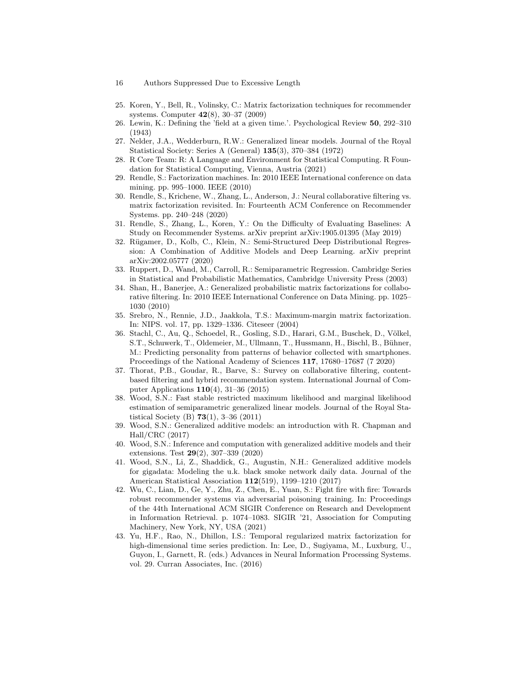- 16 Authors Suppressed Due to Excessive Length
- <span id="page-15-3"></span>25. Koren, Y., Bell, R., Volinsky, C.: Matrix factorization techniques for recommender systems. Computer 42(8), 30–37 (2009)
- <span id="page-15-18"></span>26. Lewin, K.: Defining the 'field at a given time.'. Psychological Review 50, 292–310 (1943)
- <span id="page-15-10"></span>27. Nelder, J.A., Wedderburn, R.W.: Generalized linear models. Journal of the Royal Statistical Society: Series A (General) 135(3), 370–384 (1972)
- <span id="page-15-13"></span>28. R Core Team: R: A Language and Environment for Statistical Computing. R Foundation for Statistical Computing, Vienna, Austria (2021)
- <span id="page-15-7"></span>29. Rendle, S.: Factorization machines. In: 2010 IEEE International conference on data mining. pp. 995–1000. IEEE (2010)
- <span id="page-15-6"></span>30. Rendle, S., Krichene, W., Zhang, L., Anderson, J.: Neural collaborative filtering vs. matrix factorization revisited. In: Fourteenth ACM Conference on Recommender Systems. pp. 240–248 (2020)
- <span id="page-15-16"></span>31. Rendle, S., Zhang, L., Koren, Y.: On the Difficulty of Evaluating Baselines: A Study on Recommender Systems. arXiv preprint arXiv:1905.01395 (May 2019)
- <span id="page-15-12"></span>32. R¨ugamer, D., Kolb, C., Klein, N.: Semi-Structured Deep Distributional Regression: A Combination of Additive Models and Deep Learning. arXiv preprint arXiv:2002.05777 (2020)
- <span id="page-15-17"></span>33. Ruppert, D., Wand, M., Carroll, R.: Semiparametric Regression. Cambridge Series in Statistical and Probabilistic Mathematics, Cambridge University Press (2003)
- <span id="page-15-9"></span>34. Shan, H., Banerjee, A.: Generalized probabilistic matrix factorizations for collaborative filtering. In: 2010 IEEE International Conference on Data Mining. pp. 1025– 1030 (2010)
- <span id="page-15-2"></span>35. Srebro, N., Rennie, J.D., Jaakkola, T.S.: Maximum-margin matrix factorization. In: NIPS. vol. 17, pp. 1329–1336. Citeseer (2004)
- <span id="page-15-15"></span>36. Stachl, C., Au, Q., Schoedel, R., Gosling, S.D., Harari, G.M., Buschek, D., Völkel, S.T., Schuwerk, T., Oldemeier, M., Ullmann, T., Hussmann, H., Bischl, B., Bühner, M.: Predicting personality from patterns of behavior collected with smartphones. Proceedings of the National Academy of Sciences 117, 17680–17687 (7 2020)
- <span id="page-15-4"></span>37. Thorat, P.B., Goudar, R., Barve, S.: Survey on collaborative filtering, contentbased filtering and hybrid recommendation system. International Journal of Computer Applications 110(4), 31–36 (2015)
- <span id="page-15-14"></span>38. Wood, S.N.: Fast stable restricted maximum likelihood and marginal likelihood estimation of semiparametric generalized linear models. Journal of the Royal Statistical Society (B) 73(1), 3–36 (2011)
- <span id="page-15-0"></span>39. Wood, S.N.: Generalized additive models: an introduction with R. Chapman and Hall/CRC (2017)
- <span id="page-15-11"></span>40. Wood, S.N.: Inference and computation with generalized additive models and their extensions. Test 29(2), 307–339 (2020)
- <span id="page-15-1"></span>41. Wood, S.N., Li, Z., Shaddick, G., Augustin, N.H.: Generalized additive models for gigadata: Modeling the u.k. black smoke network daily data. Journal of the American Statistical Association 112(519), 1199–1210 (2017)
- <span id="page-15-5"></span>42. Wu, C., Lian, D., Ge, Y., Zhu, Z., Chen, E., Yuan, S.: Fight fire with fire: Towards robust recommender systems via adversarial poisoning training. In: Proceedings of the 44th International ACM SIGIR Conference on Research and Development in Information Retrieval. p. 1074–1083. SIGIR '21, Association for Computing Machinery, New York, NY, USA (2021)
- <span id="page-15-8"></span>43. Yu, H.F., Rao, N., Dhillon, I.S.: Temporal regularized matrix factorization for high-dimensional time series prediction. In: Lee, D., Sugiyama, M., Luxburg, U., Guyon, I., Garnett, R. (eds.) Advances in Neural Information Processing Systems. vol. 29. Curran Associates, Inc. (2016)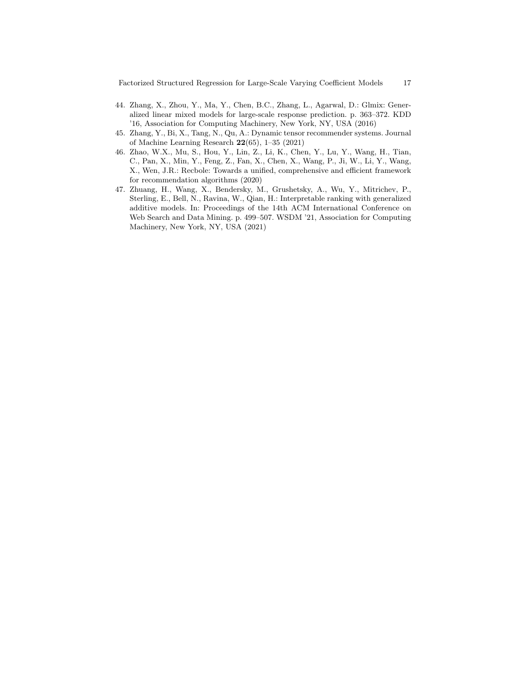- <span id="page-16-1"></span>44. Zhang, X., Zhou, Y., Ma, Y., Chen, B.C., Zhang, L., Agarwal, D.: Glmix: Generalized linear mixed models for large-scale response prediction. p. 363–372. KDD '16, Association for Computing Machinery, New York, NY, USA (2016)
- <span id="page-16-3"></span>45. Zhang, Y., Bi, X., Tang, N., Qu, A.: Dynamic tensor recommender systems. Journal of Machine Learning Research 22(65), 1–35 (2021)
- <span id="page-16-0"></span>46. Zhao, W.X., Mu, S., Hou, Y., Lin, Z., Li, K., Chen, Y., Lu, Y., Wang, H., Tian, C., Pan, X., Min, Y., Feng, Z., Fan, X., Chen, X., Wang, P., Ji, W., Li, Y., Wang, X., Wen, J.R.: Recbole: Towards a unified, comprehensive and efficient framework for recommendation algorithms (2020)
- <span id="page-16-2"></span>47. Zhuang, H., Wang, X., Bendersky, M., Grushetsky, A., Wu, Y., Mitrichev, P., Sterling, E., Bell, N., Ravina, W., Qian, H.: Interpretable ranking with generalized additive models. In: Proceedings of the 14th ACM International Conference on Web Search and Data Mining. p. 499–507. WSDM '21, Association for Computing Machinery, New York, NY, USA (2021)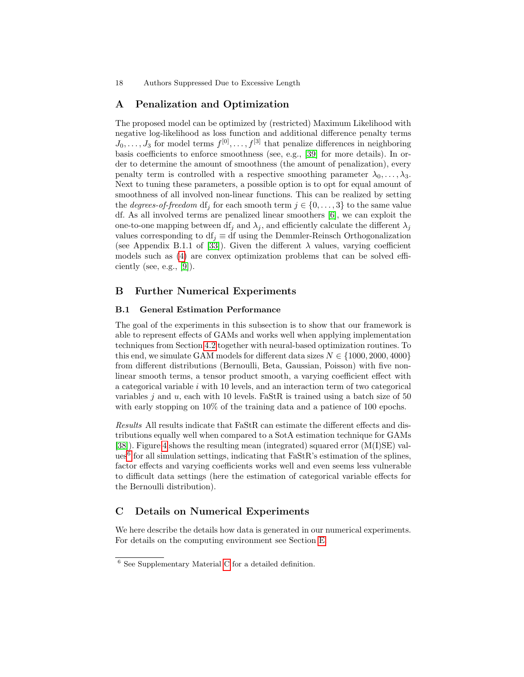# <span id="page-17-0"></span>A Penalization and Optimization

The proposed model can be optimized by (restricted) Maximum Likelihood with negative log-likelihood as loss function and additional difference penalty terms  $J_0, \ldots, J_3$  for model terms  $f^{[0]}, \ldots, f^{[3]}$  that penalize differences in neighboring basis coefficients to enforce smoothness (see, e.g., [\[39\]](#page-15-0) for more details). In order to determine the amount of smoothness (the amount of penalization), every penalty term is controlled with a respective smoothing parameter  $\lambda_0, \ldots, \lambda_3$ . Next to tuning these parameters, a possible option is to opt for equal amount of smoothness of all involved non-linear functions. This can be realized by setting the *degrees-of-freedom* df<sub>i</sub> for each smooth term  $j \in \{0, \ldots, 3\}$  to the same value df. As all involved terms are penalized linear smoothers [\[6\]](#page-14-14), we can exploit the one-to-one mapping between  $df_i$  and  $\lambda_j$ , and efficiently calculate the different  $\lambda_j$ values corresponding to df<sub>j</sub>  $\equiv$  df using the Demmler-Reinsch Orthogonalization (see Appendix B.1.1 of [\[33\]](#page-15-17)). Given the different  $\lambda$  values, varying coefficient models such as [\(4\)](#page-5-0) are convex optimization problems that can be solved efficiently (see, e.g.,  $[9]$ ).

# <span id="page-17-1"></span>B Further Numerical Experiments

### B.1 General Estimation Performance

The goal of the experiments in this subsection is to show that our framework is able to represent effects of GAMs and works well when applying implementation techniques from Section [4.2](#page-7-0) together with neural-based optimization routines. To this end, we simulate GAM models for different data sizes  $N \in \{1000, 2000, 4000\}$ from different distributions (Bernoulli, Beta, Gaussian, Poisson) with five nonlinear smooth terms, a tensor product smooth, a varying coefficient effect with a categorical variable i with 10 levels, and an interaction term of two categorical variables  $j$  and  $u$ , each with 10 levels. FaStR is trained using a batch size of 50 with early stopping on  $10\%$  of the training data and a patience of 100 epochs.

Results All results indicate that FaStR can estimate the different effects and distributions equally well when compared to a SotA estimation technique for GAMs [\[38\]](#page-15-14)). Figure [4](#page-18-0) shows the resulting mean (integrated) squared error (M(I)SE) val- $ues<sup>6</sup>$  $ues<sup>6</sup>$  $ues<sup>6</sup>$  for all simulation settings, indicating that FaStR's estimation of the splines, factor effects and varying coefficients works well and even seems less vulnerable to difficult data settings (here the estimation of categorical variable effects for the Bernoulli distribution).

### <span id="page-17-2"></span>C Details on Numerical Experiments

We here describe the details how data is generated in our numerical experiments. For details on the computing environment see Section [E.](#page-20-0)

<span id="page-17-3"></span><sup>6</sup> See Supplementary Material [C](#page-17-2) for a detailed definition.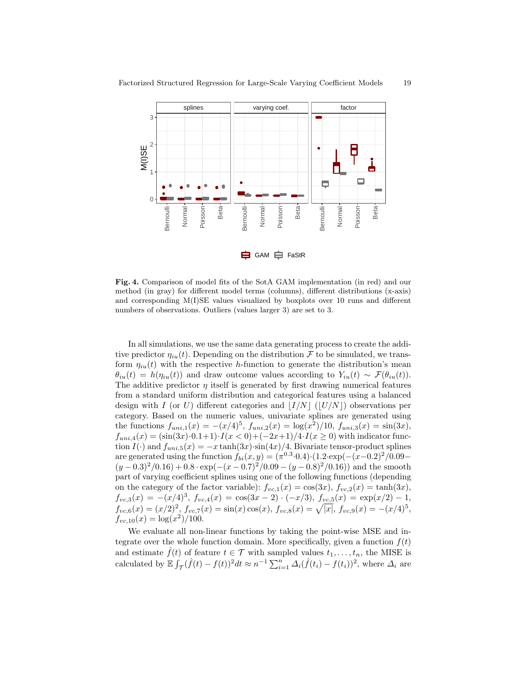

**白** GAM 白 FaStR

<span id="page-18-0"></span>Fig. 4. Comparison of model fits of the SotA GAM implementation (in red) and our method (in gray) for different model terms (columns), different distributions (x-axis) and corresponding M(I)SE values visualized by boxplots over 10 runs and different numbers of observations. Outliers (values larger 3) are set to 3.

In all simulations, we use the same data generating process to create the additive predictor  $\eta_{iu}(t)$ . Depending on the distribution F to be simulated, we transform  $\eta_{iu}(t)$  with the respective h-function to generate the distribution's mean  $\theta_{iu}(t) = h(\eta_{iu}(t))$  and draw outcome values according to  $Y_{iu}(t) \sim \mathcal{F}(\theta_{iu}(t))$ . The additive predictor  $\eta$  itself is generated by first drawing numerical features from a standard uniform distribution and categorical features using a balanced design with I (or U) different categories and  $|I/N|$  ( $|U/N|$ ) observations per category. Based on the numeric values, univariate splines are generated using the functions  $f_{uni,1}(x) = -(x/4)^5$ ,  $f_{uni,2}(x) = \log(x^2)/10$ ,  $f_{uni,3}(x) = \sin(3x)$ ,  $f_{uni,4}(x) = (\sin(3x) \cdot 0.1 + 1) \cdot I(x < 0) + (-2x+1)/4 \cdot I(x \ge 0)$  with indicator function  $I(\cdot)$  and  $f_{uni,5}(x) = -x \tanh(3x) \cdot \sin(4x)/4$ . Bivariate tensor-product splines are generated using the function  $f_{bi}(x, y) = (\pi^{0.3} \cdot 0.4) \cdot (1.2 \cdot \exp(-(x-0.2)^2/0.09 (y-0.3)^2/0.16 + 0.8 \cdot \exp(-(x-0.7)^2/0.09 - (y-0.8)^2/0.16)$  and the smooth part of varying coefficient splines using one of the following functions (depending on the category of the factor variable):  $f_{vc,1}(x) = \cos(3x)$ ,  $f_{vc,2}(x) = \tanh(3x)$ ,  $f_{vc,3}(x) = -(x/4)^3$ ,  $f_{vc,4}(x) = \cos(3x - 2) \cdot (-x/3)$ ,  $f_{vc,5}(x) = \exp(x/2) - 1$ ,  $f_{vc,6}(x) = (x/2)^2, f_{vc,7}(x) = \sin(x)\cos(x), f_{vc,8}(x) = \sqrt{|x|}, f_{vc,9}(x) = -(x/4)^5,$  $f_{vc,10}(x) = \log(x^2)/100.$ 

We evaluate all non-linear functions by taking the point-wise MSE and integrate over the whole function domain. More specifically, given a function  $f(t)$ and estimate  $\hat{f}(t)$  of feature  $t \in \mathcal{T}$  with sampled values  $t_1, \ldots, t_n$ , the MISE is calculated by  $\mathbb{E}\int_{\mathcal{T}}(\hat{f}(t)-f(t))^2dt \approx n^{-1}\sum_{i=1}^n \Delta_i(\hat{f}(t_i)-f(t_i))^2$ , where  $\Delta_i$  are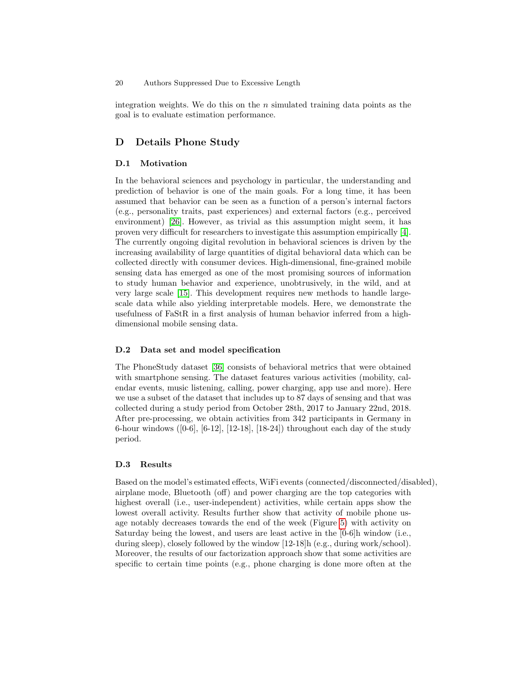integration weights. We do this on the  $n$  simulated training data points as the goal is to evaluate estimation performance.

### <span id="page-19-0"></span>D Details Phone Study

#### D.1 Motivation

In the behavioral sciences and psychology in particular, the understanding and prediction of behavior is one of the main goals. For a long time, it has been assumed that behavior can be seen as a function of a person's internal factors (e.g., personality traits, past experiences) and external factors (e.g., perceived environment) [\[26\]](#page-15-18). However, as trivial as this assumption might seem, it has proven very difficult for researchers to investigate this assumption empirically [\[4\]](#page-13-4). The currently ongoing digital revolution in behavioral sciences is driven by the increasing availability of large quantities of digital behavioral data which can be collected directly with consumer devices. High-dimensional, fine-grained mobile sensing data has emerged as one of the most promising sources of information to study human behavior and experience, unobtrusively, in the wild, and at very large scale [\[15\]](#page-14-16). This development requires new methods to handle largescale data while also yielding interpretable models. Here, we demonstrate the usefulness of FaStR in a first analysis of human behavior inferred from a highdimensional mobile sensing data.

#### D.2 Data set and model specification

The PhoneStudy dataset [\[36\]](#page-15-15) consists of behavioral metrics that were obtained with smartphone sensing. The dataset features various activities (mobility, calendar events, music listening, calling, power charging, app use and more). Here we use a subset of the dataset that includes up to 87 days of sensing and that was collected during a study period from October 28th, 2017 to January 22nd, 2018. After pre-processing, we obtain activities from 342 participants in Germany in 6-hour windows  $(0.6, 6.12, 12.18, 18.24)$  throughout each day of the study period.

#### D.3 Results

Based on the model's estimated effects, WiFi events (connected/disconnected/disabled), airplane mode, Bluetooth (off) and power charging are the top categories with highest overall (i.e., user-independent) activities, while certain apps show the lowest overall activity. Results further show that activity of mobile phone usage notably decreases towards the end of the week (Figure [5\)](#page-20-1) with activity on Saturday being the lowest, and users are least active in the [0-6]h window (i.e., during sleep), closely followed by the window [12-18]h (e.g., during work/school). Moreover, the results of our factorization approach show that some activities are specific to certain time points (e.g., phone charging is done more often at the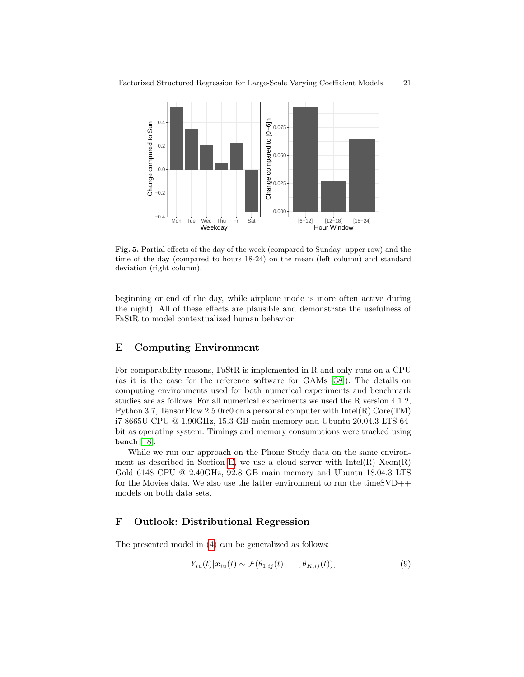

<span id="page-20-1"></span>Fig. 5. Partial effects of the day of the week (compared to Sunday; upper row) and the time of the day (compared to hours 18-24) on the mean (left column) and standard deviation (right column).

beginning or end of the day, while airplane mode is more often active during the night). All of these effects are plausible and demonstrate the usefulness of FaStR to model contextualized human behavior.

# <span id="page-20-0"></span>E Computing Environment

For comparability reasons, FaStR is implemented in R and only runs on a CPU (as it is the case for the reference software for GAMs [\[38\]](#page-15-14)). The details on computing environments used for both numerical experiments and benchmark studies are as follows. For all numerical experiments we used the R version 4.1.2, Python 3.7, TensorFlow 2.5.0rc0 on a personal computer with Intel(R) Core(TM) i7-8665U CPU @ 1.90GHz, 15.3 GB main memory and Ubuntu 20.04.3 LTS 64 bit as operating system. Timings and memory consumptions were tracked using bench  $[18]$ .

While we run our approach on the Phone Study data on the same environ-ment as described in Section [E,](#page-20-0) we use a cloud server with  $Intel(R)$   $Xeon(R)$ Gold 6148 CPU @ 2.40GHz, 92.8 GB main memory and Ubuntu 18.04.3 LTS for the Movies data. We also use the latter environment to run the timeSVD++ models on both data sets.

# F Outlook: Distributional Regression

The presented model in [\(4\)](#page-5-0) can be generalized as follows:

<span id="page-20-2"></span>
$$
Y_{iu}(t)|\mathbf{x}_{iu}(t) \sim \mathcal{F}(\theta_{1,ij}(t),\ldots,\theta_{K,ij}(t)),
$$
\n(9)